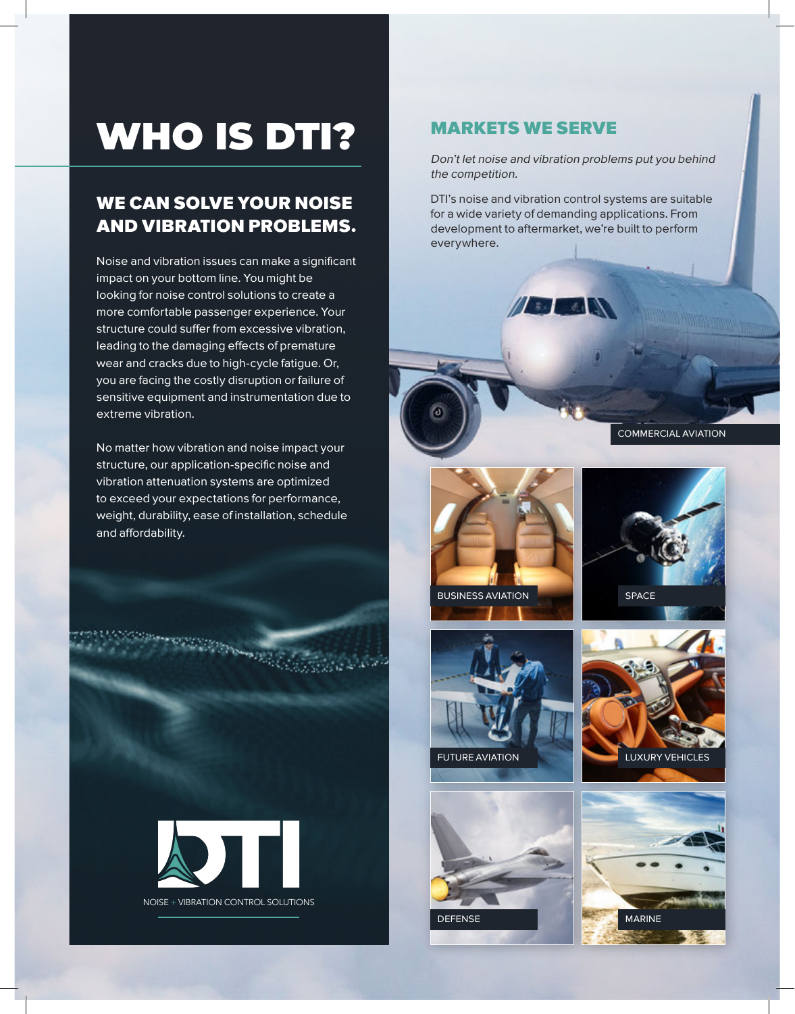# WHO IS DTI?

## WE CAN SOLVE YOUR NOISE AND VIBRATION PROBLEMS.

Noise and vibration issues can make a significant impact on your bottom line. You might be looking for noise control solutions to create a more comfortable passenger experience. Your structure could suffer from excessive vibration, leading to the damaging effects of premature wear and cracks due to high-cycle fatigue. Or, you are facing the costly disruption or failure of sensitive equipment and instrumentation due to extreme vibration.

No matter how vibration and noise impact your structure, our application-specific noise and vibration attenuation systems are optimized to exceed your expectations for performance, weight, durability, ease of installation, schedule and affordability.

**Samuel Holes** 



#### MARKETS WE SERVE

Don't let noise and vibration problems put you behind the competition.

DTI's noise and vibration control systems are suitable for a wide variety of demanding applications. From development to aftermarket, we're built to perform everywhere.

Alban Car